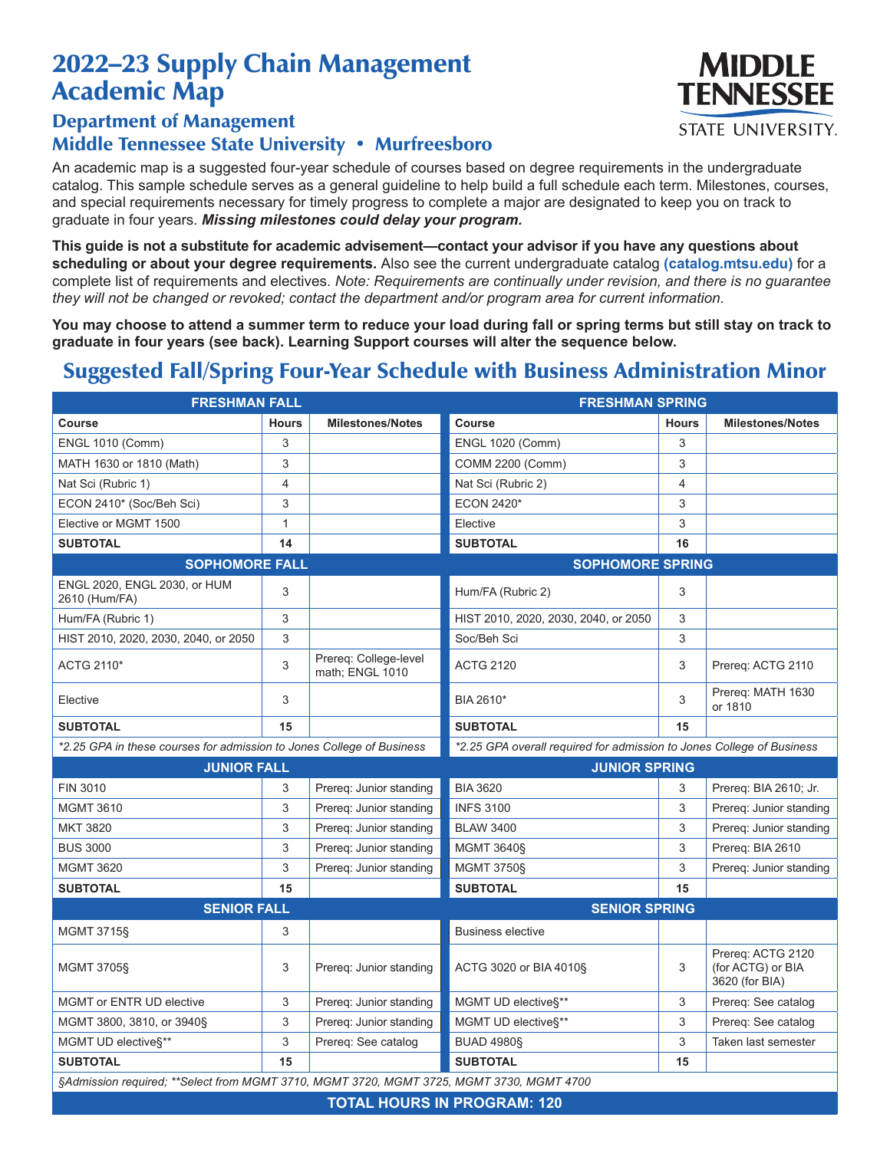## 2022–23 Supply Chain Management Academic Map

## Department of Management Middle Tennessee State University • Murfreesboro

An academic map is a suggested four-year schedule of courses based on degree requirements in the undergraduate catalog. This sample schedule serves as a general guideline to help build a full schedule each term. Milestones, courses, and special requirements necessary for timely progress to complete a major are designated to keep you on track to graduate in four years. *Missing milestones could delay your program.*

**This guide is not a substitute for academic advisement—contact your advisor if you have any questions about scheduling or about your degree requirements.** Also see the current undergraduate catalog **(catalog.mtsu.edu)** for a complete list of requirements and electives. *Note: Requirements are continually under revision, and there is no guarantee they will not be changed or revoked; contact the department and/or program area for current information.*

**You may choose to attend a summer term to reduce your load during fall or spring terms but still stay on track to graduate in four years (see back). Learning Support courses will alter the sequence below.**

## Suggested Fall/Spring Four-Year Schedule with Business Administration Minor

| <b>FRESHMAN FALL</b>                                                                     |              |                                          | <b>FRESHMAN SPRING</b>                                                |              |                                                          |  |  |  |
|------------------------------------------------------------------------------------------|--------------|------------------------------------------|-----------------------------------------------------------------------|--------------|----------------------------------------------------------|--|--|--|
| Course                                                                                   | <b>Hours</b> | <b>Milestones/Notes</b>                  | <b>Course</b>                                                         | <b>Hours</b> | <b>Milestones/Notes</b>                                  |  |  |  |
| <b>ENGL 1010 (Comm)</b>                                                                  | 3            |                                          | <b>ENGL 1020 (Comm)</b>                                               | 3            |                                                          |  |  |  |
| MATH 1630 or 1810 (Math)                                                                 | 3            |                                          | <b>COMM 2200 (Comm)</b>                                               | 3            |                                                          |  |  |  |
| Nat Sci (Rubric 1)                                                                       | 4            |                                          | Nat Sci (Rubric 2)                                                    | 4            |                                                          |  |  |  |
| ECON 2410* (Soc/Beh Sci)                                                                 | 3            |                                          | ECON 2420*                                                            | 3            |                                                          |  |  |  |
| Elective or MGMT 1500                                                                    | $\mathbf{1}$ |                                          | Elective                                                              | 3            |                                                          |  |  |  |
| <b>SUBTOTAL</b>                                                                          | 14           |                                          | <b>SUBTOTAL</b>                                                       | 16           |                                                          |  |  |  |
| <b>SOPHOMORE FALL</b>                                                                    |              | <b>SOPHOMORE SPRING</b>                  |                                                                       |              |                                                          |  |  |  |
| ENGL 2020, ENGL 2030, or HUM<br>2610 (Hum/FA)                                            | 3            |                                          | Hum/FA (Rubric 2)                                                     | 3            |                                                          |  |  |  |
| Hum/FA (Rubric 1)                                                                        | 3            |                                          | HIST 2010, 2020, 2030, 2040, or 2050                                  | 3            |                                                          |  |  |  |
| HIST 2010, 2020, 2030, 2040, or 2050                                                     | 3            |                                          | Soc/Beh Sci                                                           | 3            |                                                          |  |  |  |
| ACTG 2110*                                                                               | 3            | Prereg: College-level<br>math; ENGL 1010 | <b>ACTG 2120</b>                                                      | 3            | Prereq: ACTG 2110                                        |  |  |  |
| Elective                                                                                 | 3            |                                          | BIA 2610*                                                             | 3            | Prereq: MATH 1630<br>or 1810                             |  |  |  |
| <b>SUBTOTAL</b>                                                                          | 15           |                                          | <b>SUBTOTAL</b>                                                       | 15           |                                                          |  |  |  |
| *2.25 GPA in these courses for admission to Jones College of Business                    |              |                                          | *2.25 GPA overall required for admission to Jones College of Business |              |                                                          |  |  |  |
| <b>JUNIOR FALL</b>                                                                       |              |                                          | <b>JUNIOR SPRING</b>                                                  |              |                                                          |  |  |  |
| FIN 3010                                                                                 | 3            | Prereg: Junior standing                  | <b>BIA 3620</b>                                                       | 3            | Prereq: BIA 2610; Jr.                                    |  |  |  |
| <b>MGMT 3610</b>                                                                         | 3            | Prereg: Junior standing                  | <b>INFS 3100</b>                                                      | 3            | Prereg: Junior standing                                  |  |  |  |
| <b>MKT 3820</b>                                                                          | 3            | Prereq: Junior standing                  | <b>BLAW 3400</b>                                                      | 3            | Prereq: Junior standing                                  |  |  |  |
| <b>BUS 3000</b>                                                                          | 3            | Prereq: Junior standing                  | <b>MGMT 3640§</b>                                                     | 3            | Prereq: BIA 2610                                         |  |  |  |
| <b>MGMT 3620</b>                                                                         | 3            | Prereg: Junior standing                  | <b>MGMT 3750§</b>                                                     | 3            | Prereg: Junior standing                                  |  |  |  |
| <b>SUBTOTAL</b>                                                                          | 15           |                                          | <b>SUBTOTAL</b>                                                       | 15           |                                                          |  |  |  |
| <b>SENIOR FALL</b>                                                                       |              |                                          | <b>SENIOR SPRING</b>                                                  |              |                                                          |  |  |  |
| <b>MGMT 3715§</b>                                                                        | 3            |                                          | <b>Business elective</b>                                              |              |                                                          |  |  |  |
| <b>MGMT 3705§</b>                                                                        | 3            | Prereg: Junior standing                  | ACTG 3020 or BIA 4010§                                                | 3            | Prereg: ACTG 2120<br>(for ACTG) or BIA<br>3620 (for BIA) |  |  |  |
| MGMT or ENTR UD elective                                                                 | 3            | Prereg: Junior standing                  | MGMT UD elective§**                                                   | 3            | Prereq: See catalog                                      |  |  |  |
| MGMT 3800, 3810, or 3940§                                                                | 3            | Prereg: Junior standing                  | MGMT UD elective§**                                                   | 3            | Prereq: See catalog                                      |  |  |  |
| MGMT UD elective§**                                                                      | 3            | Prereq: See catalog                      | <b>BUAD 4980§</b>                                                     | 3            | Taken last semester                                      |  |  |  |
| <b>SUBTOTAL</b>                                                                          | 15           |                                          | <b>SUBTOTAL</b>                                                       | 15           |                                                          |  |  |  |
| §Admission required; **Select from MGMT 3710, MGMT 3720, MGMT 3725, MGMT 3730, MGMT 4700 |              |                                          |                                                                       |              |                                                          |  |  |  |
| <b>TOTAL HOUDE IN DROCRAM, 420</b>                                                       |              |                                          |                                                                       |              |                                                          |  |  |  |

**MIDDLE TENNESSEE STATE UNIVERSITY.** 

**TOTAL HOURS IN PROGRAM: 120**